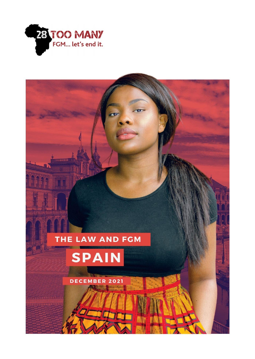

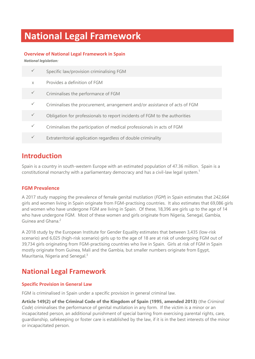# **National Legal Framework**

### **Overview of National Legal Framework in Spain**

*National legislation:*

|   | Specific law/provision criminalising FGM                                   |
|---|----------------------------------------------------------------------------|
| X | Provides a definition of FGM                                               |
|   | Criminalises the performance of FGM                                        |
|   | Criminalises the procurement, arrangement and/or assistance of acts of FGM |
|   | Obligation for professionals to report incidents of FGM to the authorities |
|   | Criminalises the participation of medical professionals in acts of FGM     |
|   | Extraterritorial application regardless of double criminality              |
|   |                                                                            |

### **Introduction**

Spain is a country in south-western Europe with an estimated population of 47.36 million. Spain is a constitutional monarchy with a parliamentary democracy and has a civil-law legal system. 1

### **FGM Prevalence**

A 2017 study mapping the prevalence of female genital mutilation (*FGM*) in Spain estimates that 242,664 girls and women living in Spain originate from FGM-practising countries. It also estimates that 69,086 girls and women who have undergone FGM are living in Spain. Of these, 18,396 are girls up to the age of 14 who have undergone FGM. Most of these women and girls originate from Nigeria, Senegal, Gambia, Guinea and Ghana. 2

A 2018 study by the European Institute for Gender Equality estimates that between 3,435 (low-risk scenario) and 6,025 (high-risk scenario) girls up to the age of 18 are at risk of undergoing FGM out of 39,734 girls originating from FGM-practising countries who live in Spain. Girls at risk of FGM in Spain mostly originate from Guinea, Mali and the Gambia, but smaller numbers originate from Egypt, Mauritania, Nigeria and Senegal. 3

### **National Legal Framework**

### **Specific Provision in General Law**

FGM is criminalised in Spain under a specific provision in general criminal law.

**Article 149(2) of the Criminal Code of the Kingdom of Spain (1995, amended 2013)** (the *Criminal Code*) criminalises the performance of genital mutilation in any form. If the victim is a minor or an incapacitated person, an additional punishment of special barring from exercising parental rights, care, guardianship, safekeeping or foster care is established by the law, if it is in the best interests of the minor or incapacitated person.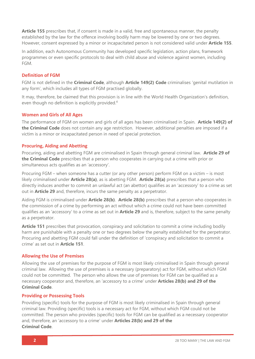**Article 155** prescribes that, if consent is made in a valid, free and spontaneous manner, the penalty established by the law for the offence involving bodily harm may be lowered by one or two degrees. However, consent expressed by a minor or incapacitated person is not considered valid under **Article 155**.

In addition, each Autonomous Community has developed specific legislation, action plans, framework programmes or even specific protocols to deal with child abuse and violence against women, including FGM.

### **Definition of FGM**

FGM is not defined in the **Criminal Code**, although **Article 149(2) Code** criminalises 'genital mutilation in any form', which includes all types of FGM practised globally.

It may, therefore, be claimed that this provision is in line with the World Health Organization's definition, even though no definition is explicitly provided.<sup>4</sup>

### **Women and Girls of All Ages**

The performance of FGM on women and girls of all ages has been criminalised in Spain. **Article 149(2) of the Criminal Code** does not contain any age restriction. However, additional penalties are imposed if a victim is a minor or incapacitated person in need of special protection.

### **Procuring, Aiding and Abetting**

Procuring, aiding and abetting FGM are criminalised in Spain through general criminal law. **Article 29 of the Criminal Code** prescribes that a person who cooperates in carrying out a crime with prior or simultaneous acts qualifies as an 'accessory'.

Procuring FGM – when someone has a cutter (or any other person) perform FGM on a victim – is most likely criminalised under **Article 28(a)**, as is abetting FGM. **Article 28(a)** prescribes that a person who directly induces another to commit an unlawful act (an abettor) qualifies as an 'accessory' to a crime as set out in **Article 29** and, therefore, incurs the same penalty as a perpetrator.

Aiding FGM is criminalised under **Article 28(b)**. **Article 28(b)** prescribes that a person who cooperates in the commission of a crime by performing an act without which a crime could not have been committed qualifies as an 'accessory' to a crime as set out in **Article 29** and is, therefore, subject to the same penalty as a perpetrator.

**Article 151** prescribes that provocation, conspiracy and solicitation to commit a crime including bodily harm are punishable with a penalty one or two degrees below the penalty established for the perpetrator. Procuring and abetting FGM could fall under the definition of 'conspiracy and solicitation to commit a crime' as set out in **Article 151**.

### **Allowing the Use of Premises**

Allowing the use of premises for the purpose of FGM is most likely criminalised in Spain through general criminal law. Allowing the use of premises is a necessary (preparatory) act for FGM, without which FGM could not be committed. The person who allows the use of premises for FGM can be qualified as a necessary cooperator and, therefore, an 'accessory to a crime' under **Articles 28(b) and 29 of the Criminal Code**.

### **Providing or Possessing Tools**

Providing (specific) tools for the purpose of FGM is most likely criminalised in Spain through general criminal law. Providing (specific) tools is a necessary act for FGM, without which FGM could not be committed. The person who provides (specific) tools for FGM can be qualified as a necessary cooperator and, therefore, an 'accessory to a crime' under **Articles 28(b) and 29 of the Criminal Code**.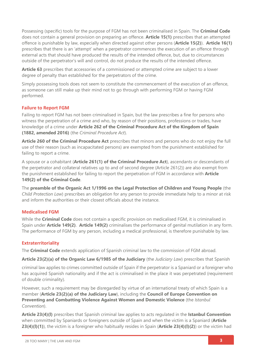Possessing (specific) tools for the purpose of FGM has not been criminalised in Spain. The **Criminal Code** does not contain a general provision on preparing an offence. **Article 15(1)** prescribes that an attempted offence is punishable by law, especially when directed against other persons (**Article 15(2)**). **Article 16(1)** prescribes that there is an 'attempt' when a perpetrator commences the execution of an offence through external acts that should have produced the results of the intended offence, but, due to circumstances outside of the perpetrator's will and control, do not produce the results of the intended offence.

**Article 63** prescribes that accessories of a commissioned or attempted crime are subject to a lower degree of penalty than established for the perpetrators of the crime.

Simply possessing tools does not seem to constitute the commencement of the execution of an offence, as someone can still make up their mind not to go through with performing FGM or having FGM performed.

### **Failure to Report FGM**

Failing to report FGM has not been criminalised in Spain, but the law prescribes a fine for persons who witness the perpetration of a crime and who, by reason of their positions, professions or trades, have knowledge of a crime under **Article 262 of the Criminal Procedure Act of the Kingdom of Spain (1882, amended 2016)** (the *Criminal Procedure Act*).

**Article 260 of the Criminal Procedure Act** prescribes that minors and persons who do not enjoy the full use of their reason (such as incapacitated persons) are exempted from the punishment established for failing to report a crime.

A spouse or a cohabitant (**Article 261(1) of the Criminal Procedure Act**), ascendants or descendants of the perpetrator and collateral relatives up to and of second degree (Article 261(2)) are also exempt from the punishment established for failing to report the perpetration of FGM in accordance with **Article 149(2) of the Criminal Code**.

The **preamble of the Organic Act 1/1996 on the Legal Protection of Children and Young People** (the *Child Protection Law*) prescribes an obligation for any person to provide immediate help to a minor at risk and inform the authorities or their closest officials about the instance.

### **Medicalised FGM**

While the **Criminal Code** does not contain a specific provision on medicalised FGM, it is criminalised in Spain under **Article 149(2)**. **Article 149(2)** criminalises the performance of genital mutilation in any form. The performance of FGM by any person, including a medical professional, is therefore punishable by law.

### **Extraterritoriality**

The **Criminal Code** extends application of Spanish criminal law to the commission of FGM abroad.

**Article 23(2)(a) of the Organic Law 6/1985 of the Judiciary** (the *Judiciary Law*) prescribes that Spanish

criminal law applies to crimes committed outside of Spain if the perpetrator is a Spaniard or a foreigner who has acquired Spanish nationality and if the act is criminalised in the place it was perpetrated (requirement of double criminality).

However, such a requirement may be disregarded by virtue of an international treaty of which Spain is a member (**Article 23(2)(a) of the Judiciary Law**), including the **Council of Europe Convention on Preventing and Combatting Violence Against Women and Domestic Violence** (the *Istanbul Convention*).

**Article 23(4)(l)** prescribes that Spanish criminal law applies to acts regulated in the **Istanbul Convention** when committed by Spaniards or foreigners outside of Spain and when the victim is a Spaniard (**Article 23(4)(l)(1)**), the victim is a foreigner who habitually resides in Spain (**Article 23(4)(l)(2)**) or the victim had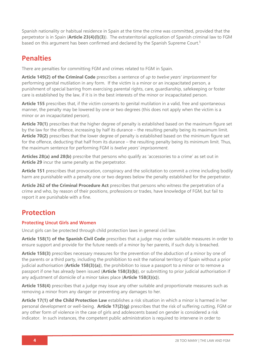Spanish nationality or habitual residence in Spain at the time the crime was committed, provided that the perpetrator is in Spain (**Article 23(4)(l)(3)**). The extraterritorial application of Spanish criminal law to FGM based on this argument has been confirmed and declared by the Spanish Supreme Court.<sup>5</sup>

### **Penalties**

There are penalties for committing FGM and crimes related to FGM in Spain.

**Article 149(2) of the Criminal Code** prescribes a sentence of *up to twelve years' imprisonment* for performing genital mutilation in any form. If the victim is a minor or an incapacitated person, a punishment of special barring from exercising parental rights, care, guardianship, safekeeping or foster care is established by the law, if it is in the best interests of the minor or incapacitated person.

**Article 155** prescribes that, if the victim consents to genital mutilation in a valid, free and spontaneous manner, the penalty may be lowered by one or two degrees (this does not apply when the victim is a minor or an incapacitated person).

**Article 70(1)** prescribes that the higher degree of penalty is established based on the maximum figure set by the law for the offence, increasing by half its durance – the resulting penalty being its maximum limit. **Article 70(2)** prescribes that the lower degree of penalty is established based on the minimum figure set for the offence, deducting that half from its durance – the resulting penalty being its minimum limit. Thus, the maximum sentence for performing FGM is *twelve years' imprisonment*.

**Articles 28(a) and 28(b)** prescribe that persons who qualify as 'accessories to a crime' as set out in **Article 29** incur the same penalty as the perpetrator.

**Article 151** prescribes that provocation, conspiracy and the solicitation to commit a crime including bodily harm are punishable with a penalty one or two degrees below the penalty established for the perpetrator.

**Article 262 of the Criminal Procedure Act** prescribes that persons who witness the perpetration of a crime and who, by reason of their positions, professions or trades, have knowledge of FGM, but fail to report it are punishable with a fine.

### **Protection**

### **Protecting Uncut Girls and Women**

Uncut girls can be protected through child protection laws in general civil law.

**Article 158(1) of the Spanish Civil Code** prescribes that a judge may order suitable measures in order to ensure support and provide for the future needs of a minor by her parents, if such duty is breached.

**Article 158(3)** prescribes necessary measures for the prevention of the abduction of a minor by one of the parents or a third party, including the prohibition to exit the national territory of Spain without a prior judicial authorisation (**Article 158(3)(a)**), the prohibition to issue a passport to a minor or to remove a passport if one has already been issued (**Article 158(3)(b)**), or submitting to prior judicial authorisation if any adjustment of domicile of a minor takes place (**Article 158(3)(c)**).

**Article 158(4)** prescribes that a judge may issue any other suitable and proportionate measures such as removing a minor from any danger or preventing any damages to her.

**Article 17(1) of the Child Protection Law** establishes a risk situation in which a minor is harmed in her personal development or well-being. **Article 17(2)(g)** prescribes that the risk of suffering cutting, FGM or any other form of violence in the case of girls and adolescents based on gender is considered a risk indicator. In such instances, the competent public administration is required to intervene in order to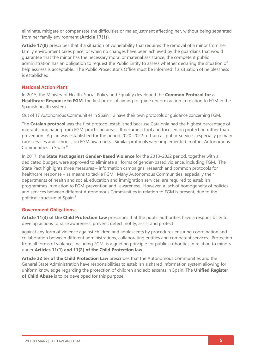eliminate, mitigate or compensate the difficulties or maladjustment affecting her, without being separated from her family environment (**Article 17(1)**).

**Article 17(8)** prescribes that if a situation of vulnerability that requires the removal of a minor from her family environment takes place, or when no changes have been achieved by the guardians that would guarantee that the minor has the necessary moral or material assistance, the competent public administration has an obligation to request the Public Entity to assess whether declaring the situation of helplessness is acceptable. The Public Prosecutor's Office must be informed if a situation of helplessness is established.

### **National Action Plans**

In 2015, the Ministry of Health, Social Policy and Equality developed the **Common Protocol for a Healthcare Response to FGM**, the first protocol aiming to quide uniform action in relation to FGM in the Spanish health system.

Out of 17 Autonomous Communities in Spain, 12 have their own protocols or guidance concerning FGM.

The **Catalan protocol** was the first protocol established because Catalonia had the highest percentage of migrants originating from FGM-practising areas. It became a tool and focused on protection rather than prevention. A plan was established for the period 2020–2022 to train all public services, especially primary care services and schools, on FGM awareness. Similar protocols were implemented in other Autonomous Communities in Spain. 6

In 2017, the **State Pact against Gender-Based Violence** for the 2018–2022 period, together with a dedicated budget, were approved to eliminate all forms of gender-based violence, including FGM. The State Pact highlights three measures – information campaigns, research and common protocols for healthcare response – as means to tackle FGM. Many Autonomous Communities, especially their departments of health and social, education and immigration services, are required to establish programmes in relation to FGM-prevention and -awareness. However, a lack of homogeneity of policies and services between different Autonomous Communities in relation to FGM is present, due to the political structure of Spain. 7

### **Government Obligations**

**Article 11(3) of the Child Protection Law** prescribes that the public authorities have a responsibility to develop actions to raise awareness, prevent, detect, notify, assist and protect

against any form of violence against children and adolescents by procedures ensuring coordination and collaboration between different administrations, collaborating entities and competent services. Protection from all forms of violence, including FGM, is a guiding principle for public authorities in relation to minors under **Articles 11(1) and 11(2) of the Child Protection law**.

**Article 22 ter of the Child Protection Law** prescribes that the Autonomous Communities and the General State Administration have responsibilities to establish a shared information system allowing for uniform knowledge regarding the protection of children and adolescents in Spain. The **Unified Register of Child Abuse** is to be developed for this purpose.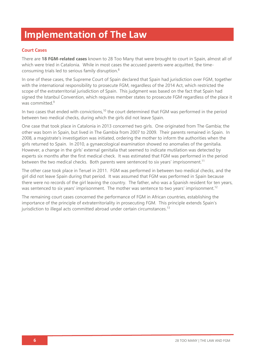# **Implementation of The Law**

### **Court Cases**

There are **18 FGM-related cases** known to 28 Too Many that were brought to court in Spain, almost all of which were tried in Catalonia. While in most cases the accused parents were acquitted, the timeconsuming trials led to serious family disruption. 8

In one of these cases, the Supreme Court of Spain declared that Spain had jurisdiction over FGM, together with the international responsibility to prosecute FGM, regardless of the 2014 Act, which restricted the scope of the extraterritorial jurisdiction of Spain. This judgment was based on the fact that Spain had signed the Istanbul Convention, which requires member states to prosecute FGM regardless of the place it was committed.<sup>9</sup>

In two cases that ended with convictions,<sup>10</sup> the court determined that FGM was performed in the period between two medical checks, during which the girls did not leave Spain.

One case that took place in Catalonia in 2013 concerned two girls. One originated from The Gambia; the other was born in Spain, but lived in The Gambia from 2007 to 2009. Their parents remained in Spain. In 2008, a magistrate's investigation was initiated, ordering the mother to inform the authorities when the girls returned to Spain. In 2010, a gynaecological examination showed no anomalies of the genitalia. However, a change in the girls' external genitalia that seemed to indicate mutilation was detected by experts six months after the first medical check. It was estimated that FGM was performed in the period between the two medical checks. Both parents were sentenced to six years' imprisonment.<sup>11</sup>

The other case took place in Teruel in 2011. FGM was performed in between two medical checks, and the girl did not leave Spain during that period. It was assumed that FGM was performed in Spain because there were no records of the girl leaving the country. The father, who was a Spanish resident for ten years, was sentenced to six years' imprisonment. The mother was sentence to two years' imprisonment.<sup>12</sup>

The remaining court cases concerned the performance of FGM in African countries, establishing the importance of the principle of extraterritoriality in prosecuting FGM. This principle extends Spain's jurisdiction to illegal acts committed abroad under certain circumstances.<sup>13</sup>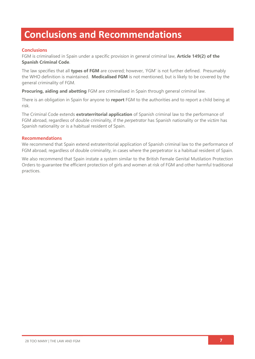## **Conclusions and Recommendations**

### **Conclusions**

FGM is criminalised in Spain under a specific provision in general criminal law, **Article 149(2) of the Spanish Criminal Code**.

The law specifies that all **types of FGM** are covered; however, 'FGM' is not further defined. Presumably the WHO definition is maintained. **Medicalised FGM** is not mentioned, but is likely to be covered by the general criminality of FGM.

**Procuring, aiding and abetting** FGM are criminalised in Spain through general criminal law.

There is an obligation in Spain for anyone to **report** FGM to the authorities and to report a child being at risk.

The Criminal Code extends **extraterritorial application** of Spanish criminal law to the performance of FGM abroad, regardless of double criminality, if the *perpetrator* has Spanish nationality or the *victim* has Spanish nationality or is a habitual resident of Spain.

### **Recommendations**

We recommend that Spain extend extraterritorial application of Spanish criminal law to the performance of FGM abroad, regardless of double criminality, in cases where the perpetrator is a habitual resident of Spain.

We also recommend that Spain instate a system similar to the British Female Genital Mutilation Protection Orders to guarantee the efficient protection of girls and women at risk of FGM and other harmful traditional practices.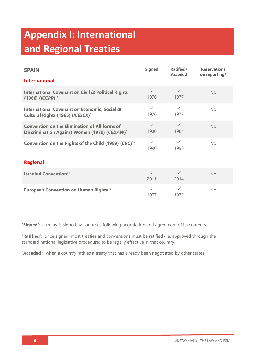# **Appendix I: International and Regional Treaties**

| <b>SPAIN</b>                                                                                                      | <b>Signed</b>        | Ratified/<br><b>Acceded</b> | <b>Reservations</b><br>on reporting? |  |  |
|-------------------------------------------------------------------------------------------------------------------|----------------------|-----------------------------|--------------------------------------|--|--|
| <b>International</b>                                                                                              |                      |                             |                                      |  |  |
| <b>International Covenant on Civil &amp; Political Rights</b><br>$(1966)$ (ICCPR) <sup>14</sup>                   | $\checkmark$<br>1976 | $\checkmark$<br>1977        | No                                   |  |  |
| <b>International Covenant on Economic, Social &amp;</b><br>Cultural Rights (1966) (ICESCR) <sup>15</sup>          | $\checkmark$<br>1976 | $\checkmark$<br>1977        | No                                   |  |  |
| <b>Convention on the Elimination of All forms of</b><br>Discrimination Against Women (1979) (CEDAW) <sup>16</sup> | $\checkmark$<br>1980 | $\checkmark$<br>1984        | No                                   |  |  |
| Convention on the Rights of the Child (1989) (CRC) <sup>17</sup>                                                  | $\checkmark$<br>1990 | $\checkmark$<br>1990        | No                                   |  |  |
| <b>Regional</b>                                                                                                   |                      |                             |                                      |  |  |
| <b>Istanbul Convention<sup>18</sup></b>                                                                           | $\checkmark$<br>2011 | $\checkmark$<br>2014        | <b>No</b>                            |  |  |
| <b>European Convention on Human Rights<sup>19</sup></b>                                                           | $\checkmark$<br>1977 | $\checkmark$<br>1979        | No                                   |  |  |

**'Signed'**: a treaty is signed by countries following negotiation and agreement of its contents.

**'Ratified'**: once signed, most treaties and conventions must be ratified (i.e. approved through the standard national legislative procedure) to be legally effective in that country.

**'Acceded'**: when a country ratifies a treaty that has already been negotiated by other states.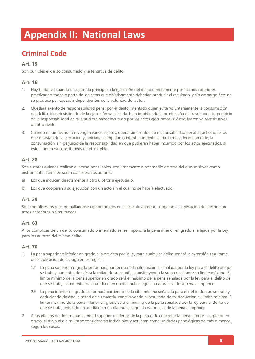# **Appendix II: National Laws**

### **Criminal Code**

### **Art. 15**

Son punibles el delito consumado y la tentativa de delito.

### **Art. 16**

- 1. Hay tentativa cuando el sujeto da principio a la ejecución del delito directamente por hechos exteriores, practicando todos o parte de los actos que objetivamente deberían producir el resultado, y sin embargo éste no se produce por causas independientes de la voluntad del autor.
- 2. Quedará exento de responsabilidad penal por el delito intentado quien evite voluntariamente la consumación del delito, bien desistiendo de la ejecución ya iniciada, bien impidiendo la producción del resultado, sin perjuicio de la responsabilidad en que pudiera haber incurrido por los actos ejecutados, si éstos fueren ya constitutivos de otro delito.
- 3. Cuando en un hecho intervengan varios sujetos, quedarán exentos de responsabilidad penal aquél o aquéllos que desistan de la ejecución ya iniciada, e impidan o intenten impedir, seria, firme y decididamente, la consumación, sin perjuicio de la responsabilidad en que pudieran haber incurrido por los actos ejecutados, si éstos fueren ya constitutivos de otro delito.

### **Art. 28**

Son autores quienes realizan el hecho por sí solos, conjuntamente o por medio de otro del que se sirven como instrumento. También serán considerados autores:

- a) Los que inducen directamente a otro u otros a ejecutarlo.
- b) Los que cooperan a su ejecución con un acto sin el cual no se habría efectuado.

### **Art. 29**

Son cómplices los que, no hallándose comprendidos en el artículo anterior, cooperan a la ejecución del hecho con actos anteriores o simultáneos.

### **Art. 63**

A los cómplices de un delito consumado o intentado se les impondrá la pena inferior en grado a la fijada por la Ley para los autores del mismo delito.

### **Art. 70**

- 1. La pena superior e inferior en grado a la prevista por la ley para cualquier delito tendrá la extensión resultante de la aplicación de las siguientes reglas:
	- 1.ª La pena superior en grado se formará partiendo de la cifra máxima señalada por la ley para el delito de que se trate y aumentando a ésta la mitad de su cuantía, constituyendo la suma resultante su límite máximo. El límite mínimo de la pena superior en grado será el máximo de la pena señalada por la ley para el delito de que se trate, incrementado en un día o en un día multa según la naturaleza de la pena a imponer.
	- 2.ª La pena inferior en grado se formará partiendo de la cifra mínima señalada para el delito de que se trate y deduciendo de ésta la mitad de su cuantía, constituyendo el resultado de tal deducción su límite mínimo. El límite máximo de la pena inferior en grado será el mínimo de la pena señalada por la ley para el delito de que se trate, reducido en un día o en un día multa según la naturaleza de la pena a imponer.
- 2. A los efectos de determinar la mitad superior o inferior de la pena o de concretar la pena inferior o superior en grado, el día o el día multa se considerarán indivisibles y actuaran como unidades penológicas de más o menos, según los casos.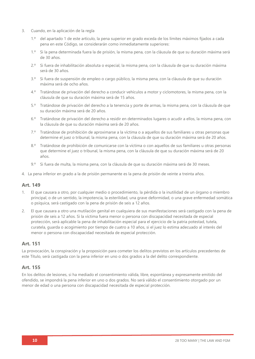- 3. Cuando, en la aplicación de la regla
	- 1.ª del apartado 1 de este artículo, la pena superior en grado exceda de los límites máximos fijados a cada pena en este Código, se considerarán como inmediatamente superiores:
	- 1.º Si la pena determinada fuera la de prisión, la misma pena, con la cláusula de que su duración máxima será de 30 años.
	- 2.º Si fuera de inhabilitación absoluta o especial, la misma pena, con la cláusula de que su duración máxima será de 30 años.
	- 3.º Si fuera de suspensión de empleo o cargo público, la misma pena, con la cláusula de que su duración máxima será de ocho años.
	- 4.º Tratándose de privación del derecho a conducir vehículos a motor y ciclomotores, la misma pena, con la cláusula de que su duración máxima será de 15 años.
	- 5.º Tratándose de privación del derecho a la tenencia y porte de armas, la misma pena, con la cláusula de que su duración máxima será de 20 años.
	- 6.º Tratándose de privación del derecho a residir en determinados lugares o acudir a ellos, la misma pena, con la cláusula de que su duración máxima será de 20 años.
	- 7.º Tratándose de prohibición de aproximarse a la víctima o a aquellos de sus familiares u otras personas que determine el juez o tribunal, la misma pena, con la cláusula de que su duración máxima será de 20 años.
	- 8.º Tratándose de prohibición de comunicarse con la víctima o con aquellos de sus familiares u otras personas que determine el juez o tribunal, la misma pena, con la cláusula de que su duración máxima será de 20 años.
	- 9.º Si fuera de multa, la misma pena, con la cláusula de que su duración máxima será de 30 meses.
- 4. La pena inferior en grado a la de prisión permanente es la pena de prisión de veinte a treinta años.

### **Art. 149**

- 1. El que causara a otro, por cualquier medio o procedimiento, la pérdida o la inutilidad de un órgano o miembro principal, o de un sentido, la impotencia, la esterilidad, una grave deformidad, o una grave enfermedad somática o psíquica, será castigado con la pena de prisión de seis a 12 años.
- 2. El que causara a otro una mutilación genital en cualquiera de sus manifestaciones será castigado con la pena de prisión de seis a 12 años. Si la víctima fuera menor o persona con discapacidad necesitada de especial protección, será aplicable la pena de inhabilitación especial para el ejercicio de la patria potestad, tutela, curatela, guarda o acogimiento por tiempo de cuatro a 10 años, si el juez lo estima adecuado al interés del menor o persona con discapacidad necesitada de especial protección.

### **Art. 151**

La provocación, la conspiración y la proposición para cometer los delitos previstos en los artículos precedentes de este Título, será castigada con la pena inferior en uno o dos grados a la del delito correspondiente.

### **Art. 155**

En los delitos de lesiones, si ha mediado el consentimiento válida, libre, espontánea y expresamente emitido del ofendido, se impondrá la pena inferior en uno o dos grados. No será válido el consentimiento otorgado por un menor de edad o una persona con discapacidad necesitada de especial protección.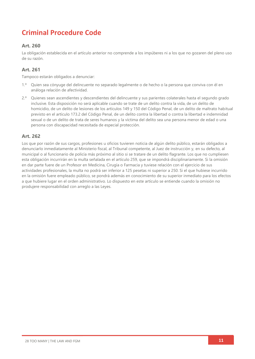### **Criminal Procedure Code**

### **Art. 260**

La obligación establecida en el artículo anterior no comprende a los impúberes ni a los que no gozaren del pleno uso de su razón.

### **Art. 261**

Tampoco estarán obligados a denunciar:

- 1.º Quien sea cónyuge del delincuente no separado legalmente o de hecho o la persona que conviva con él en análoga relación de afectividad.
- 2.º Quienes sean ascendientes y descendientes del delincuente y sus parientes colaterales hasta el segundo grado inclusive. Esta disposición no será aplicable cuando se trate de un delito contra la vida, de un delito de homicidio, de un delito de lesiones de los artículos 149 y 150 del Código Penal, de un delito de maltrato habitual previsto en el artículo 173.2 del Código Penal, de un delito contra la libertad o contra la libertad e indemnidad sexual o de un delito de trata de seres humanos y la víctima del delito sea una persona menor de edad o una persona con discapacidad necesitada de especial protección.

### **Art. 262**

Los que por razón de sus cargos, profesiones u oficios tuvieren noticia de algún delito público, estarán obligados a denunciarlo inmediatamente al Ministerio fiscal, al Tribunal competente, al Juez de instrucción y, en su defecto, al municipal o al funcionario de policía más próximo al sitio si se tratare de un delito flagrante. Los que no cumpliesen esta obligación incurrirán en la multa señalada en el artículo 259, que se impondrá disciplinariamente. Si la omisión en dar parte fuere de un Profesor en Medicina, Cirugía o Farmacia y tuviese relación con el ejercicio de sus actividades profesionales, la multa no podrá ser inferior a 125 pesetas ni superior a 250. Si el que hubiese incurrido en la omisión fuere empleado público, se pondrá además en conocimiento de su superior inmediato para los efectos a que hubiere lugar en el orden administrativo. Lo dispuesto en este artículo se entiende cuando la omisión no produjere responsabilidad con arreglo a las Leyes.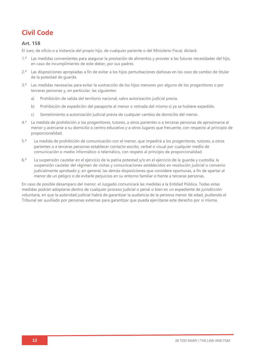### **Civil Code**

### **Art. 158**

El Juez, de oficio o a instancia del propio hijo, de cualquier pariente o del Ministerio Fiscal, dictará:

- 1.º Las medidas convenientes para asegurar la prestación de alimentos y proveer a las futuras necesidades del hijo, en caso de incumplimiento de este deber, por sus padres.
- 2.º Las disposiciones apropiadas a fin de evitar a los hijos perturbaciones dañosas en los caso de cambio de titular de la potestad de guarda.
- 3.º Las medidas necesarias para evitar la sustracción de los hijos menores por alguno de los progenitores o por terceras personas y, en particular, las siguientes:
	- a) Prohibición de salida del territorio nacional, salvo autorización judicial previa.
	- b) Prohibición de expedición del pasaporte al menor o retirada del mismo si ya se hubiere expedido.
	- c) Sometimiento a autorización judicial previa de cualquier cambio de domicilio del menor.
- 4.º La medida de prohibición a los progenitores, tutores, a otros parientes o a terceras personas de aproximarse al menor y acercarse a su domicilio o centro educativo y a otros lugares que frecuente, con respecto al principio de proporcionalidad.
- 5.º La medida de prohibición de comunicación con el menor, que impedirá a los progenitores, tutores, a otros parientes o a terceras personas establecer contacto escrito, verbal o visual por cualquier medio de comunicación o medio informático o telemático, con respeto al principio de proporcionalidad.
- 6.º La suspensión cautelar en el ejercicio de la patria potestad y/o en el ejercicio de la guarda y custodia, la suspensión cautelar del régimen de visitas y comunicaciones establecidos en resolución judicial o convenio judicialmente aprobado y, en general, las demás disposiciones que considere oportunas, a fin de apartar al menor de un peligro o de evitarle perjuicios en su entorno familiar o frente a terceras personas.

En caso de posible desamparo del menor, el Juzgado comunicará las medidas a la Entidad Pública. Todas estas medidas podrán adoptarse dentro de cualquier proceso judicial o penal o bien en un expediente de jurisdicción voluntaria, en que la autoridad judicial habrá de garantizar la audiencia de la persona menor de edad, pudiendo el Tribunal ser auxiliado por personas externas para garantizar que pueda ejercitarse este derecho por sí misma.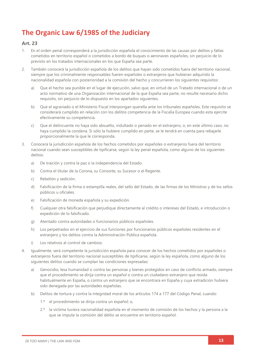### **The Organic Law 6/1985 of the Judiciary**

### **Art. 23**

- 1. En el orden penal corresponderá a la jurisdicción española el conocimiento de las causas por delitos y faltas cometidos en territorio español o cometidos a bordo de buques o aeronaves españoles, sin perjuicio de lo previsto en los tratados internacionales en los que España sea parte.
- 2. También conocerá la jurisdicción española de los delitos que hayan sido cometidos fuera del territorio nacional, siempre que los criminalmente responsables fueren españoles o extranjeros que hubieran adquirido la nacionalidad española con posterioridad a la comisión del hecho y concurrieren los siguientes requisitos:
	- a) Que el hecho sea punible en el lugar de ejecución, salvo que, en virtud de un Tratado internacional o de un acto normativo de una Organización internacional de la que España sea parte, no resulte necesario dicho requisito, sin perjuicio de lo dispuesto en los apartados siguientes.
	- b) Que el agraviado o el Ministerio Fiscal interpongan querella ante los tribunales españoles. Este requisito se considerará cumplido en relación con los delitos competencia de la Fiscalía Europea cuando esta ejercite efectivamente su competencia.
	- c) Que el delincuente no haya sido absuelto, indultado o penado en el extranjero, o, en este último caso, no haya cumplido la condena. Si sólo la hubiere cumplido en parte, se le tendrá en cuenta para rebajarle proporcionalmente la que le corresponda.
- 3. Conocerá la jurisdicción española de los hechos cometidos por españoles o extranjeros fuera del territorio nacional cuando sean susceptibles de tipificarse, según la ley penal española, como alguno de los siguientes delitos:
	- a) De traición y contra la paz o la independencia del Estado.
	- b) Contra el titular de la Corona, su Consorte, su Sucesor o el Regente.
	- c) Rebelión y sedición.
	- d) Falsificación de la firma o estampilla reales, del sello del Estado, de las firmas de los Ministros y de los sellos públicos u oficiales.
	- e) Falsificación de moneda española y su expedición.
	- f) Cualquier otra falsificación que perjudique directamente al crédito o intereses del Estado, e introducción o expedición de lo falsificado.
	- g) Atentado contra autoridades o funcionarios públicos españoles.
	- h) Los perpetrados en el ejercicio de sus funciones por funcionarios públicos españoles residentes en el extranjero y los delitos contra la Administración Pública española.
	- i) Los relativos al control de cambios.
- 4. Igualmente, será competente la jurisdicción española para conocer de los hechos cometidos por españoles o extranjeros fuera del territorio nacional susceptibles de tipificarse, según la ley española, como alguno de los siguientes delitos cuando se cumplan las condiciones expresadas:
	- a) Genocidio, lesa humanidad o contra las personas y bienes protegidos en caso de conflicto armado, siempre que el procedimiento se dirija contra un español o contra un ciudadano extranjero que resida habitualmente en España, o contra un extranjero que se encontrara en España y cuya extradición hubiera sido denegada por las autoridades españolas.
	- b) Delitos de tortura y contra la integridad moral de los artículos 174 a 177 del Código Penal, cuando:
		- 1.º el procedimiento se dirija contra un español; o,
		- 2.º la víctima tuviera nacionalidad española en el momento de comisión de los hechos y la persona a la que se impute la comisión del delito se encuentre en territorio español.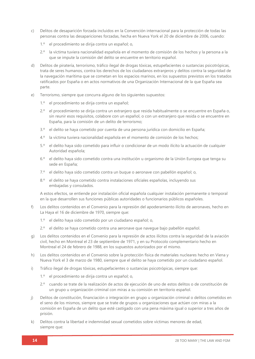- c) Delitos de desaparición forzada incluidos en la Convención internacional para la protección de todas las personas contra las desapariciones forzadas, hecha en Nueva York el 20 de diciembre de 2006, cuando:
	- 1.º el procedimiento se dirija contra un español; o,
	- 2.º la víctima tuviera nacionalidad española en el momento de comisión de los hechos y la persona a la que se impute la comisión del delito se encuentre en territorio español.
- d) Delitos de piratería, terrorismo, tráfico ilegal de drogas tóxicas, estupefacientes o sustancias psicotrópicas, trata de seres humanos, contra los derechos de los ciudadanos extranjeros y delitos contra la seguridad de la navegación marítima que se cometan en los espacios marinos, en los supuestos previstos en los tratados ratificados por España o en actos normativos de una Organización Internacional de la que España sea parte.
- e) Terrorismo, siempre que concurra alguno de los siguientes supuestos:
	- 1.º el procedimiento se dirija contra un español;
	- 2.º el procedimiento se dirija contra un extranjero que resida habitualmente o se encuentre en España o, sin reunir esos requisitos, colabore con un español, o con un extranjero que resida o se encuentre en España, para la comisión de un delito de terrorismo;
	- 3.º el delito se haya cometido por cuenta de una persona jurídica con domicilio en España;
	- 4.º la víctima tuviera nacionalidad española en el momento de comisión de los hechos;
	- 5.º el delito haya sido cometido para influir o condicionar de un modo ilícito la actuación de cualquier Autoridad española;
	- 6.º el delito haya sido cometido contra una institución u organismo de la Unión Europea que tenga su sede en España;
	- 7.º el delito haya sido cometido contra un buque o aeronave con pabellón español; o,
	- 8.º el delito se haya cometido contra instalaciones oficiales españolas, incluyendo sus embajadas y consulados.

A estos efectos, se entiende por instalación oficial española cualquier instalación permanente o temporal en la que desarrollen sus funciones públicas autoridades o funcionarios públicos españoles.

- f) Los delitos contenidos en el Convenio para la represión del apoderamiento ilícito de aeronaves, hecho en La Haya el 16 de diciembre de 1970, siempre que:
	- 1.º el delito haya sido cometido por un ciudadano español; o,
	- 2.º el delito se haya cometido contra una aeronave que navegue bajo pabellón español.
- g) Los delitos contenidos en el Convenio para la represión de actos ilícitos contra la seguridad de la aviación civil, hecho en Montreal el 23 de septiembre de 1971, y en su Protocolo complementario hecho en Montreal el 24 de febrero de 1988, en los supuestos autorizados por el mismo.
- h) Los delitos contenidos en el Convenio sobre la protección física de materiales nucleares hecho en Viena y Nueva York el 3 de marzo de 1980, siempre que el delito se haya cometido por un ciudadano español.
- i) Tráfico ilegal de drogas tóxicas, estupefacientes o sustancias psicotrópicas, siempre que:
	- 1.º el procedimiento se dirija contra un español; o,
	- 2.º cuando se trate de la realización de actos de ejecución de uno de estos delitos o de constitución de un grupo u organización criminal con miras a su comisión en territorio español.
- j) Delitos de constitución, financiación o integración en grupo u organización criminal o delitos cometidos en el seno de los mismos, siempre que se trate de grupos u organizaciones que actúen con miras a la comisión en España de un delito que esté castigado con una pena máxima igual o superior a tres años de prisión.
- k) Delitos contra la libertad e indemnidad sexual cometidos sobre víctimas menores de edad, siempre que: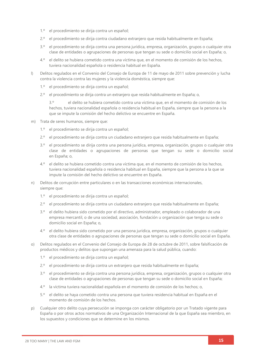- 1.º el procedimiento se dirija contra un español;
- 2.º el procedimiento se dirija contra ciudadano extranjero que resida habitualmente en España;
- 3.º el procedimiento se dirija contra una persona jurídica, empresa, organización, grupos o cualquier otra clase de entidades o agrupaciones de personas que tengan su sede o domicilio social en España; o,
- 4.º el delito se hubiera cometido contra una víctima que, en el momento de comisión de los hechos, tuviera nacionalidad española o residencia habitual en España.
- l) Delitos regulados en el Convenio del Consejo de Europa de 11 de mayo de 2011 sobre prevención y lucha contra la violencia contra las mujeres y la violencia doméstica, siempre que:
	- 1.º el procedimiento se dirija contra un español;
	- 2.º el procedimiento se dirija contra un extranjero que resida habitualmente en España; o,

3.º el delito se hubiera cometido contra una víctima que, en el momento de comisión de los hechos, tuviera nacionalidad española o residencia habitual en España, siempre que la persona a la que se impute la comisión del hecho delictivo se encuentre en España.

- m) Trata de seres humanos, siempre que:
	- 1.º el procedimiento se dirija contra un español;
	- 2.º el procedimiento se dirija contra un ciudadano extranjero que resida habitualmente en España;
	- 3.º el procedimiento se dirija contra una persona jurídica, empresa, organización, grupos o cualquier otra clase de entidades o agrupaciones de personas que tengan su sede o domicilio social en España; o,
	- 4.º el delito se hubiera cometido contra una víctima que, en el momento de comisión de los hechos, tuviera nacionalidad española o residencia habitual en España, siempre que la persona a la que se impute la comisión del hecho delictivo se encuentre en España.
- n) Delitos de corrupción entre particulares o en las transacciones económicas internacionales, siempre que:
	- 1.º el procedimiento se dirija contra un español;
	- 2.º el procedimiento se dirija contra un ciudadano extranjero que resida habitualmente en España;
	- 3.º el delito hubiera sido cometido por el directivo, administrador, empleado o colaborador de una empresa mercantil, o de una sociedad, asociación, fundación u organización que tenga su sede o domicilio social en España; o,
	- 4.º el delito hubiera sido cometido por una persona jurídica, empresa, organización, grupos o cualquier otra clase de entidades o agrupaciones de personas que tengan su sede o domicilio social en España.
- o) Delitos regulados en el Convenio del Consejo de Europa de 28 de octubre de 2011, sobre falsificación de productos médicos y delitos que supongan una amenaza para la salud pública, cuando:
	- 1.º el procedimiento se dirija contra un español;
	- 2.º el procedimiento se dirija contra un extranjero que resida habitualmente en España;
	- 3.º el procedimiento se dirija contra una persona jurídica, empresa, organización, grupos o cualquier otra clase de entidades o agrupaciones de personas que tengan su sede o domicilio social en España;
	- 4.º la víctima tuviera nacionalidad española en el momento de comisión de los hechos; o,
	- 5.º el delito se haya cometido contra una persona que tuviera residencia habitual en España en el momento de comisión de los hechos.
- p) Cualquier otro delito cuya persecución se imponga con carácter obligatorio por un Tratado vigente para España o por otros actos normativos de una Organización Internacional de la que España sea miembro, en los supuestos y condiciones que se determine en los mismos.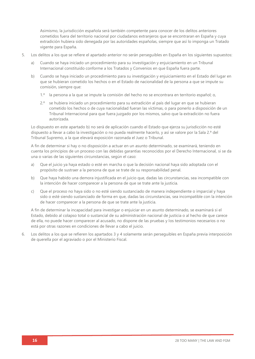Asimismo, la jurisdicción española será también competente para conocer de los delitos anteriores cometidos fuera del territorio nacional por ciudadanos extranjeros que se encontraran en España y cuya extradición hubiera sido denegada por las autoridades españolas, siempre que así lo imponga un Tratado vigente para España.

- 5. Los delitos a los que se refiere el apartado anterior no serán perseguibles en España en los siguientes supuestos:
	- a) Cuando se haya iniciado un procedimiento para su investigación y enjuiciamiento en un Tribunal Internacional constituido conforme a los Tratados y Convenios en que España fuera parte.
	- b) Cuando se haya iniciado un procedimiento para su investigación y enjuiciamiento en el Estado del lugar en que se hubieran cometido los hechos o en el Estado de nacionalidad de la persona a que se impute su comisión, siempre que:
		- 1.º la persona a la que se impute la comisión del hecho no se encontrara en territorio español; o,
		- 2.º se hubiera iniciado un procedimiento para su extradición al país del lugar en que se hubieran cometido los hechos o de cuya nacionalidad fueran las víctimas, o para ponerlo a disposición de un Tribunal Internacional para que fuera juzgado por los mismos, salvo que la extradición no fuera autorizada.

Lo dispuesto en este apartado b) no será de aplicación cuando el Estado que ejerza su jurisdicción no esté dispuesto a llevar a cabo la investigación o no pueda realmente hacerlo, y así se valore por la Sala 2.ª del Tribunal Supremo, a la que elevará exposición razonada el Juez o Tribunal.

A fin de determinar si hay o no disposición a actuar en un asunto determinado, se examinará, teniendo en cuenta los principios de un proceso con las debidas garantías reconocidos por el Derecho Internacional, si se da una o varias de las siguientes circunstancias, según el caso:

- a) Que el juicio ya haya estado o esté en marcha o que la decisión nacional haya sido adoptada con el propósito de sustraer a la persona de que se trate de su responsabilidad penal.
- b) Que haya habido una demora injustificada en el juicio que, dadas las circunstancias, sea incompatible con la intención de hacer comparecer a la persona de que se trate ante la justicia.
- c) Que el proceso no haya sido o no esté siendo sustanciado de manera independiente o imparcial y haya sido o esté siendo sustanciado de forma en que, dadas las circunstancias, sea incompatible con la intención de hacer comparecer a la persona de que se trate ante la justicia.

A fin de determinar la incapacidad para investigar o enjuiciar en un asunto determinado, se examinará si el Estado, debido al colapso total o sustancial de su administración nacional de justicia o al hecho de que carece de ella, no puede hacer comparecer al acusado, no dispone de las pruebas y los testimonios necesarios o no está por otras razones en condiciones de llevar a cabo el juicio.

6. Los delitos a los que se refieren los apartados 3 y 4 solamente serán perseguibles en España previa interposición de querella por el agraviado o por el Ministerio Fiscal.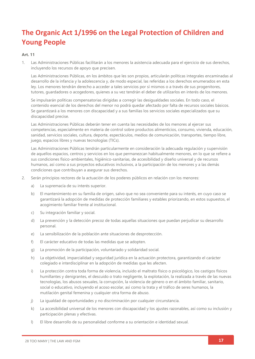### **The Organic Act 1/1996 on the Legal Protection of Children and Young People**

#### **Art. 11**

1. Las Administraciones Públicas facilitarán a los menores la asistencia adecuada para el ejercicio de sus derechos, incluyendo los recursos de apoyo que precisen.

Las Administraciones Públicas, en los ámbitos que les son propios, articularán políticas integrales encaminadas al desarrollo de la infancia y la adolescencia y, de modo especial, las referidas a los derechos enumerados en esta ley. Los menores tendrán derecho a acceder a tales servicios por sí mismos o a través de sus progenitores, tutores, guardadores o acogedores, quienes a su vez tendrán el deber de utilizarlos en interés de los menores.

Se impulsarán políticas compensatorias dirigidas a corregir las desigualdades sociales. En todo caso, el contenido esencial de los derechos del menor no podrá quedar afectado por falta de recursos sociales básicos. Se garantizará a los menores con discapacidad y a sus familias los servicios sociales especializados que su discapacidad precise.

Las Administraciones Públicas deberán tener en cuenta las necesidades de los menores al ejercer sus competencias, especialmente en materia de control sobre productos alimenticios, consumo, vivienda, educación, sanidad, servicios sociales, cultura, deporte, espectáculos, medios de comunicación, transportes, tiempo libre, juego, espacios libres y nuevas tecnologías (TICs).

Las Administraciones Públicas tendrán particularmente en consideración la adecuada regulación y supervisión de aquellos espacios, centros y servicios en los que permanezcan habitualmente menores, en lo que se refiere a sus condiciones físico-ambientales, higiénico-sanitarias, de accesibilidad y diseño universal y de recursos humanos, así como a sus proyectos educativos inclusivos, a la participación de los menores y a las demás condiciones que contribuyan a asegurar sus derechos.

- 2. Serán principios rectores de la actuación de los poderes públicos en relación con los menores:
	- a) La supremacía de su interés superior.
	- b) El mantenimiento en su familia de origen, salvo que no sea conveniente para su interés, en cuyo caso se garantizará la adopción de medidas de protección familiares y estables priorizando, en estos supuestos, el acogimiento familiar frente al institucional.
	- c) Su integración familiar y social.
	- d) La prevención y la detección precoz de todas aquellas situaciones que puedan perjudicar su desarrollo personal.
	- e) La sensibilización de la población ante situaciones de desprotección.
	- f) El carácter educativo de todas las medidas que se adopten.
	- g) La promoción de la participación, voluntariado y solidaridad social.
	- h) La objetividad, imparcialidad y seguridad jurídica en la actuación protectora, garantizando el carácter colegiado e interdisciplinar en la adopción de medidas que les afecten.
	- i) La protección contra toda forma de violencia, incluido el maltrato físico o psicológico, los castigos físicos humillantes y denigrantes, el descuido o trato negligente, la explotación, la realizada a través de las nuevas tecnologías, los abusos sexuales, la corrupción, la violencia de género o en el ámbito familiar, sanitario, social o educativo, incluyendo el acoso escolar, así como la trata y el tráfico de seres humanos, la mutilación genital femenina y cualquier otra forma de abuso.
	- j) La igualdad de oportunidades y no discriminación por cualquier circunstancia.
	- k) La accesibilidad universal de los menores con discapacidad y los ajustes razonables, así como su inclusión y participación plenas y efectivas.
	- l) El libre desarrollo de su personalidad conforme a su orientación e identidad sexual.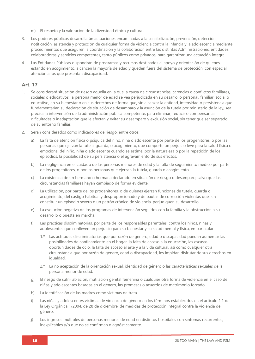- m)   El respeto y la valoración de la diversidad étnica y cultural.
- 3. Los poderes públicos desarrollarán actuaciones encaminadas a la sensibilización, prevención, detección, notificación, asistencia y protección de cualquier forma de violencia contra la infancia y la adolescencia mediante procedimientos que aseguren la coordinación y la colaboración entre las distintas Administraciones, entidades colaboradoras y servicios competentes, tanto públicos como privados, para garantizar una actuación integral.
- 4. Las Entidades Públicas dispondrán de programas y recursos destinados al apoyo y orientación de quienes, estando en acogimiento, alcancen la mayoría de edad y queden fuera del sistema de protección, con especial atención a los que presentan discapacidad.

### **Art. 17**

- 1. Se considerará situación de riesgo aquella en la que, a causa de circunstancias, carencias o conflictos familiares, sociales o educativos, la persona menor de edad se vea perjudicada en su desarrollo personal, familiar, social o educativo, en su bienestar o en sus derechos de forma que, sin alcanzar la entidad, intensidad o persistencia que fundamentarían su declaración de situación de desamparo y la asunción de la tutela por ministerio de la ley, sea precisa la intervención de la administración pública competente, para eliminar, reducir o compensar las dificultades o inadaptación que le afectan y evitar su desamparo y exclusión social, sin tener que ser separado de su entorno familiar.
- 2. Serán considerados como indicadores de riesgo, entre otros:
	- a) La falta de atención física o psíquica del niño, niña o adolescente por parte de los progenitores, o por las personas que ejerzan la tutela, guarda, o acogimiento, que comporte un perjuicio leve para la salud física o emocional del niño, niña o adolescente cuando se estime, por la naturaleza o por la repetición de los episodios, la posibilidad de su persistencia o el agravamiento de sus efectos.
	- b) La negligencia en el cuidado de las personas menores de edad y la falta de seguimiento médico por parte de los progenitores, o por las personas que ejerzan la tutela, guarda o acogimiento.
	- c) La existencia de un hermano o hermana declarado en situación de riesgo o desamparo, salvo que las circunstancias familiares hayan cambiado de forma evidente.
	- d) La utilización, por parte de los progenitores, o de quienes ejerzan funciones de tutela, guarda o acogimiento, del castigo habitual y desproporcionado y de pautas de corrección violentas que, sin constituir un episodio severo o un patrón crónico de violencia, perjudiquen su desarrollo.
	- e) La evolución negativa de los programas de intervención seguidos con la familia y la obstrucción a su desarrollo o puesta en marcha.
	- f) Las prácticas discriminatorias, por parte de los responsables parentales, contra los niños, niñas y adolescentes que conlleven un perjuicio para su bienestar y su salud mental y física, en particular:
		- 1.º Las actitudes discriminatorias que por razón de género, edad o discapacidad puedan aumentar las posibilidades de confinamiento en el hogar, la falta de acceso a la educación, las escasas oportunidades de ocio, la falta de acceso al arte y a la vida cultural, así como cualquier otra circunstancia que por razón de género, edad o discapacidad, les impidan disfrutar de sus derechos en igualdad.
		- 2.º La no aceptación de la orientación sexual, identidad de género o las características sexuales de la persona menor de edad.
	- g) El riesgo de sufrir ablación, mutilación genital femenina o cualquier otra forma de violencia en el caso de niñas y adolescentes basadas en el género, las promesas o acuerdos de matrimonio forzado.
	- h) La identificación de las madres como víctimas de trata.
	- i) Las niñas y adolescentes víctimas de violencia de género en los términos establecidos en el artículo 1.1 de la Ley Orgánica 1/2004, de 28 de diciembre, de medidas de protección integral contra la violencia de género.
	- j) Los ingresos múltiples de personas menores de edad en distintos hospitales con síntomas recurrentes, inexplicables y/o que no se confirman diagnósticamente.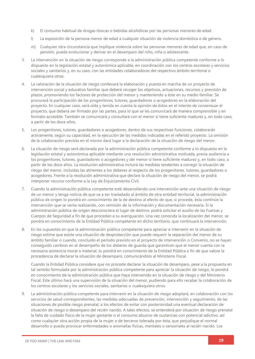- k) El consumo habitual de drogas tóxicas o bebidas alcohólicas por las personas menores de edad.
- l) La exposición de la persona menor de edad a cualquier situación de violencia doméstica o de género.
- m) Cualquier otra circunstancia que implique violencia sobre las personas menores de edad que, en caso de persistir, pueda evolucionar y derivar en el desamparo del niño, niña o adolescente.
- 3. La intervención en la situación de riesgo corresponde a la administración pública competente conforme a lo dispuesto en la legislación estatal y autonómica aplicable, en coordinación con los centros escolares y servicios sociales y sanitarios y, en su caso, con las entidades colaboradoras del respectivo ámbito territorial o cualesquiera otras.
- 4. La valoración de la situación de riesgo conllevará la elaboración y puesta en marcha de un proyecto de intervención social y educativo familiar que deberá recoger los objetivos, actuaciones, recursos y previsión de plazos, promoviendo los factores de protección del menor y manteniendo a éste en su medio familiar. Se procurará la participación de los progenitores, tutores, guardadores o acogedores en la elaboración del proyecto. En cualquier caso, será oída y tenida en cuenta la opinión de éstos en el intento de consensuar el proyecto, que deberá ser firmado por las partes, para lo que se les comunicará de manera comprensible y en formato accesible. También se comunicará y consultará con el menor si tiene suficiente madurez y, en todo caso, a partir de los doce años.
- 5. Los progenitores, tutores, guardadores o acogedores, dentro de sus respectivas funciones, colaborarán activamente, según su capacidad, en la ejecución de las medidas indicadas en el referido proyecto. La omisión de la colaboración prevista en el mismo dará lugar a la declaración de la situación de riesgo del menor.
- 6. La situación de riesgo será declarada por la administración pública competente conforme a lo dispuesto en la legislación estatal y autonómica aplicable mediante una resolución administrativa motivada, previa audiencia a los progenitores, tutores, guardadores o acogedores y del menor si tiene suficiente madurez y, en todo caso, a partir de los doce años. La resolución administrativa incluirá las medidas tendentes a corregir la situación de riesgo del menor, incluidas las atinentes a los deberes al respecto de los progenitores, tutores, guardadores o acogedores. Frente a la resolución administrativa que declare la situación de riesgo del menor, se podrá interponer recurso conforme a la Ley de Enjuiciamiento Civil.
- 7. Cuando la administración pública competente esté desarrollando una intervención ante una situación de riesgo de un menor y tenga noticia de que va a ser trasladado al ámbito de otra entidad territorial, la administración pública de origen lo pondrá en conocimiento de la de destino al efecto de que, si procede, ésta continúe la intervención que se venía realizando, con remisión de la información y documentación necesaria. Si la administración pública de origen desconociera el lugar de destino, podrá solicitar el auxilio de las Fuerzas y Cuerpos de Seguridad a fin de que procedan a su averiguación. Una vez conocida la localización del menor, se pondrá en conocimiento de la Entidad Pública competente en dicho territorio, que continuará la intervención.
- 8. En los supuestos en que la administración pública competente para apreciar e intervenir en la situación de riesgo estime que existe una situación de desprotección que puede requerir la separación del menor de su ámbito familiar o cuando, concluido el período previsto en el proyecto de intervención o Convenio, no se hayan conseguido cambios en el desempeño de los deberes de guarda que garanticen que el menor cuenta con la necesaria asistencia moral o material, lo pondrá en conocimiento de la Entidad Pública a fin de que valore la procedencia de declarar la situación de desamparo, comunicándolo al Ministerio Fiscal.

Cuando la Entidad Pública considere que no procede declarar la situación de desamparo, pese a la propuesta en tal sentido formulada por la administración pública competente para apreciar la situación de riesgo, lo pondrá en conocimiento de la administración pública que haya intervenido en la situación de riesgo y del Ministerio Fiscal. Este último hará una supervisión de la situación del menor, pudiendo para ello recabar la colaboración de los centros escolares y los servicios sociales, sanitarios o cualesquiera otros.

9. La administración pública competente para intervenir en la situación de riesgo adoptará, en colaboración con los servicios de salud correspondientes, las medidas adecuadas de prevención, intervención y seguimiento, de las situaciones de posible riesgo prenatal, a los efectos de evitar con posterioridad una eventual declaración de situación de riesgo o desamparo del recién nacido. A tales efectos, se entenderá por situación de riesgo prenatal la falta de cuidado físico de la mujer gestante o el consumo abusivo de sustancias con potencial adictivo, así como cualquier otra acción propia de la mujer o de terceros tolerada por ésta, que perjudique el normal desarrollo o pueda provocar enfermedades o anomalías físicas, mentales o sensoriales al recién nacido. Los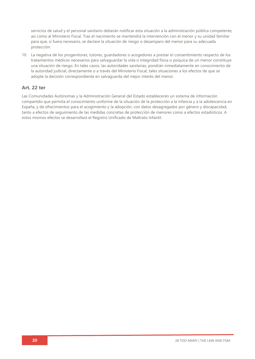servicios de salud y el personal sanitario deberán notificar esta situación a la administración pública competente, así como al Ministerio Fiscal. Tras el nacimiento se mantendrá la intervención con el menor y su unidad familiar para que, si fuera necesario, se declare la situación de riesgo o desamparo del menor para su adecuada protección.

10. La negativa de los progenitores, tutores, guardadores o acogedores a prestar el consentimiento respecto de los tratamientos médicos necesarios para salvaguardar la vida o integridad física o psíquica de un menor constituye una situación de riesgo. En tales casos, las autoridades sanitarias, pondrán inmediatamente en conocimiento de la autoridad judicial, directamente o a través del Ministerio Fiscal, tales situaciones a los efectos de que se adopte la decisión correspondiente en salvaguarda del mejor interés del menor.

### **Art. 22 ter**

Las Comunidades Autónomas y la Administración General del Estado establecerán un sistema de información compartido que permita el conocimiento uniforme de la situación de la protección a la infancia y a la adolescencia en España, y de ofrecimientos para el acogimiento y la adopción, con datos desagregados por género y discapacidad, tanto a efectos de seguimiento de las medidas concretas de protección de menores como a efectos estadísticos. A estos mismos efectos se desarrollará el Registro Unificado de Maltrato Infantil.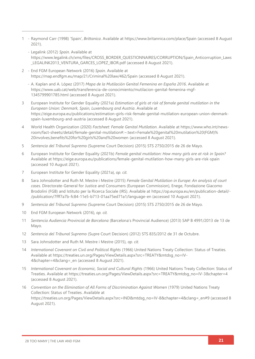- 1 Raymond Carr (1998) 'Spain', *Brittanica*. Available at<https://www.britannica.com/place/Spain> (accessed 8 August 2021).
	- Legalink (2012) *Spain*. Available at [https://www.legalink.ch/xms/files/CROSS\\_BORDER\\_QUESTIONNAIRES/CORRUPTION/Spain\\_Anticorruption\\_Laws](https://www.legalink.ch/xms/files/CROSS_BORDER_QUESTIONNAIRES/CORRUPTION/Spain_Anticorruption_Laws_LEGALINK2013_VENTURA_GARCES_LOPEZ_IBOR.pdf) LEGALINK2013 VENTURA GARCES LOPEZ IBOR.pdf (accessed 8 August 2021).
- 2 End FGM European Network (2016) *Spain*. Available at [https://map.endfgm.eu/map/21/Criminal%20law/462/Spain](about:blank) (accessed 8 August 2021).
	- A. Kaplan and A. López (2017) *Mapa de la Mutilación Genital Femenina en España 2016*. Available at [https://www.uab.cat/web/transferencia-de-conocimiento/mutilacion-genital-femenina-mgf-](about:blank)[1345799901785.html](about:blank) (accessed 8 August 2021).
- 3 European Institute for Gender Equality (2021a) *Estimation of girls at risk of female genital mutilation in the European Union: Denmark, Spain, Luxembourg and Austria*. Available at [https://eige.europa.eu/publications/estimation-girls-risk-female-genital-mutilation-european-union-denmark](about:blank)[spain-luxembourg-and-austria](about:blank) (accessed 8 August 2021).
- 4 World Health Organization (2020) *Factsheet: Female Genital Mutilation.* Available a[t https://www.who.int/news](https://www.who.int/news-room/fact-sheets/detail/female-genital-mutilation#:~:text=Female%20genital%20mutilation%20(FGM)%20involves,benefits%20for%20girls%20and%20women)[room/fact-sheets/detail/female-genital-mutilation#:~:text=Female%20genital%20mutilation%20\(FGM\)%](https://www.who.int/news-room/fact-sheets/detail/female-genital-mutilation#:~:text=Female%20genital%20mutilation%20(FGM)%20involves,benefits%20for%20girls%20and%20women) [20involves,benefits%20for%20girls%20and%20women](https://www.who.int/news-room/fact-sheets/detail/female-genital-mutilation#:~:text=Female%20genital%20mutilation%20(FGM)%20involves,benefits%20for%20girls%20and%20women) (accessed 8 August 2021).
- 5 *Sentencia del Tribunal Supremo* (Supreme Court Decision) (2015) STS 2750/2015 de 26 de Mayo.
- 6 European Institute for Gender Equality (2021b) *Female genital mutilation: How many girls are at risk in Spain?* Available at<https://eige.europa.eu/publications/female-genital-mutilation-how-many-girls-are-risk-spain> (accessed 10 August 2021).
- 7 European Institute for Gender Equality (2021a), *op. cit.*
- 8 Sara Johnsdotter and Ruth M. Mestre i Mestre (2015) *Female Genital Mutilation in Europe: An analysis of court cases*. Directorate-General for Justice and Consumers (European Commission), Enege, Fondazione Giacomo Brodolini (FGB) and Istituto per la Ricerca Sociale (IRS). Available at [https://op.europa.eu/en/publication-detail/-](https://op.europa.eu/en/publication-detail/-/publication/7fff7a7b-fc84-11e5-b713-01aa75ed71a1/language-en) [/publication/7fff7a7b-fc84-11e5-b713-01aa75ed71a1/language-en](https://op.europa.eu/en/publication-detail/-/publication/7fff7a7b-fc84-11e5-b713-01aa75ed71a1/language-en) (accessed 10 August 2021).
- 9 *Sentencia del Tribunal Supremo* (Supreme Court Decision) (2015) STS 2750/2015 de 26 de Mayo.
- 10 End FGM European Network (2016), *op. cit.*
- 11 *Sentencia Audiencia Provincial de Barcelona* (Barcelona's Provincial Audience) (2013) SAP B 4991/2013 de 13 de Mayo.
- 12 *Sentencia del Tribunal Supremo* (Supre Court Decision) (2012) STS 835/2012 de 31 de Octubre.
- 13 Sara Johnsdotter and Ruth M. Mestre i Mestre (2015), *op. cit.*
- 14 *International Covenant on Civil and Political Rights* (1966) United Nations Treaty Collection: Status of Treaties*.* Available at [https://treaties.un.org/Pages/ViewDetails.aspx?src=TREATY&mtdsg\\_no=IV-](https://treaties.un.org/Pages/ViewDetails.aspx?src=TREATY&mtdsg_no=IV-4&chapter=4&clang=_en)4&chapter=4&clang= en (accessed 8 August 2021).
- 15 *International Covenant on Economic, Social and Cultural Rights* (1966) United Nations Treaty Collection: Status of Treaties. Available at [https://treaties.un.org/Pages/ViewDetails.aspx?src=TREATY&mtdsg\\_no=IV-3&chapter=4](https://treaties.un.org/Pages/ViewDetails.aspx?src=TREATY&mtdsg_no=IV-3&chapter=4) (accessed 8 August 2021).
- 16 *Convention on the Elimination of All Forms of Discrimination Against Women (1979)* United Nations Treaty Collection: Status of Treaties. Available at [https://treaties.un.org/Pages/ViewDetails.aspx?src=IND&mtdsg\\_no=IV-8&chapter=4&clang=\\_en#9](https://treaties.un.org/Pages/ViewDetails.aspx?src=IND&mtdsg_no=IV-8&chapter=4&clang=_en#9) (accessed 8 August 2021).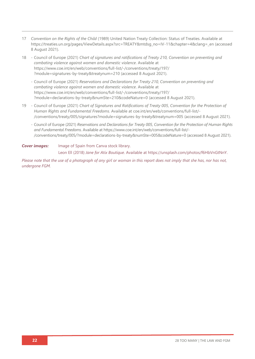- 17 *Convention on the Rights of the Child* (1989) United Nation Treaty Collection: Status of Treaties. Available at [https://treaties.un.org/pages/ViewDetails.aspx?src=TREATY&mtdsg\\_no=IV-11&chapter=4&clang=\\_en](https://treaties.un.org/pages/ViewDetails.aspx?src=TREATY&mtdsg_no=IV-11&chapter=4&clang=_en) (accessed 8 August 2021).
- 18 Council of Europe (2021) *Chart of signatures and ratifications of Treaty 210, Convention on preventing and combating violence against women and domestic violence*. Available at [https://www.coe.int/en/web/conventions/full-list/-/conventions/treaty/197/](https://www.coe.int/en/web/conventions/full-list/-/conventions/treaty/197/?module=signatures-by-treaty&treatynum=210) [?module=signatures-by-treaty&treatynum=210](https://www.coe.int/en/web/conventions/full-list/-/conventions/treaty/197/?module=signatures-by-treaty&treatynum=210) (accessed 8 August 2021).
	- Council of Europe (2021) *Reservations and Declarations for Treaty 210, Convention on preventing and combating violence against women and domestic violence*. Available at [https://www.coe.int/en/web/conventions/full-list/-/conventions/treaty/197/](https://www.coe.int/en/web/conventions/full-list/-/conventions/treaty/197/?module=declarations-by-treaty&numSte=210&codeNature=0) [?module=declarations-by-treaty&numSte=210&codeNature=0](https://www.coe.int/en/web/conventions/full-list/-/conventions/treaty/197/?module=declarations-by-treaty&numSte=210&codeNature=0) (accessed 8 August 2021).
- 19 Council of Europe (2021) *Chart of Signatures and Ratifications of Treaty 005, Convention for the Protection of Human Rights and Fundamental Freedoms*. Available at [coe.int/en/web/conventions/full-list/-](file://///Users/emmageraghty/Desktop/coe.int/en/web/conventions/full-list/-/conventions/treaty/005/signatures%253fmodule=signatures-by-treaty&treatynum=005) [/conventions/treaty/005/signatures?module=signatures-by-treaty&treatynum=005](file://///Users/emmageraghty/Desktop/coe.int/en/web/conventions/full-list/-/conventions/treaty/005/signatures%253fmodule=signatures-by-treaty&treatynum=005) (accessed 8 August 2021).
	- Council of Europe (2021) *Reservations and Declarations for Treaty 005, Convention for the Protection of Human Rights and Fundamental Freedoms*. Available at [https://www.coe.int/en/web/conventions/full-list/-](https://www.coe.int/en/web/conventions/full-list/-/conventions/treaty/005/?module=declarations-by-treaty&numSte=005&codeNature=0) [/conventions/treaty/005/?module=declarations-by-treaty&numSte=005&codeNature=0](https://www.coe.int/en/web/conventions/full-list/-/conventions/treaty/005/?module=declarations-by-treaty&numSte=005&codeNature=0) (accessed 8 August 2021).

*Cover images:* Image of Spain from Canva stock library. Leon Ell (2018) *Jane for Atix Boutique*. Available at [https://unsplash.com/photos/f6HbVnGtNnY.](https://unsplash.com/photos/f6HbVnGtNnY)

*Please note that the use of a photograph of any girl or woman in this report does not imply that she has, nor has not, undergone FGM.*